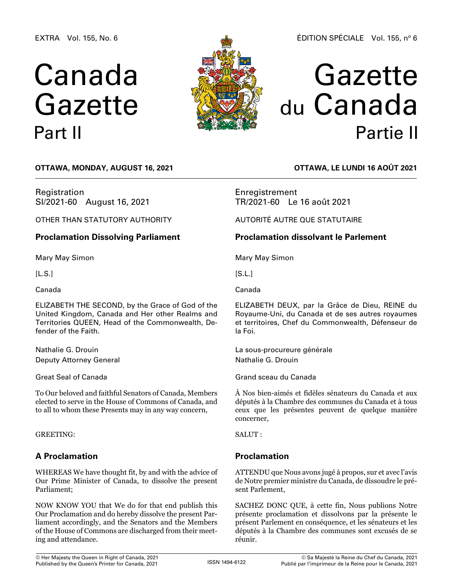EXTRA Vol. 155, No. 6

# Canada Gazette Part II



# Gazette du Canada Partie II

**OTTAWA, Monday, August 16, 2021**

Registration SI/2021-60 August 16, 2021

OTHER THAN STATUTORY AUTHORITY

# **Proclamation Dissolving Parliament**

Mary May Simon

 $[L.S.]$ 

Canada

ELIZABETH THE SECOND, by the Grace of God of the United Kingdom, Canada and Her other Realms and Territories QUEEN, Head of the Commonwealth, Defender of the Faith.

Nathalie G. Drouin Deputy Attorney General

Great Seal of Canada

To Our beloved and faithful Senators of Canada, Members elected to serve in the House of Commons of Canada, and to all to whom these Presents may in any way concern,

GREETING:

# **A Proclamation**

WHEREAS We have thought fit, by and with the advice of Our Prime Minister of Canada, to dissolve the present Parliament;

NOW KNOW YOU that We do for that end publish this Our Proclamation and do hereby dissolve the present Parliament accordingly, and the Senators and the Members of the House of Commons are discharged from their meeting and attendance.

**OTTAWA, LE lundi 16 août 2021**

Enregistrement TR/2021-60 Le 16 août 2021

AUTORITÉ AUTRE QUE STATUTAIRE

# **Proclamation dissolvant le Parlement**

Mary May Simon

 $[S.L.]$ 

Canada

ELIZABETH DEUX, par la Grâce de Dieu, REINE du Royaume-Uni, du Canada et de ses autres royaumes et territoires, Chef du Commonwealth, Défenseur de la Foi.

La sous-procureure générale Nathalie G. Drouin

Grand sceau du Canada

À Nos bien-aimés et fidèles sénateurs du Canada et aux députés à la Chambre des communes du Canada et à tous ceux que les présentes peuvent de quelque manière concerner,

SALUT :

# **Proclamation**

ATTENDU que Nous avons jugé à propos, sur et avec l'avis de Notre premier ministre du Canada, de dissoudre le présent Parlement,

SACHEZ DONC QUE, à cette fin, Nous publions Notre présente proclamation et dissolvons par la présente le présent Parlement en conséquence, et les sénateurs et les députés à la Chambre des communes sont excusés de se réunir.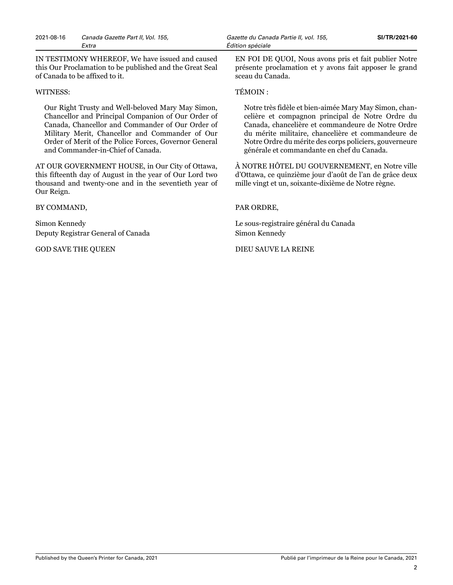2021-08-16 *Canada Gazette Part II, Vol. 155, Gazette du Canada Partie II, vol. 155,* **SI/TR/2021-60** *Extra Édition spéciale*

IN TESTIMONY WHEREOF, We have issued and caused this Our Proclamation to be published and the Great Seal of Canada to be affixed to it.

#### WITNESS:

Our Right Trusty and Well-beloved Mary May Simon, Chancellor and Principal Companion of Our Order of Canada, Chancellor and Commander of Our Order of Military Merit, Chancellor and Commander of Our Order of Merit of the Police Forces, Governor General and Commander-in-Chief of Canada.

AT OUR GOVERNMENT HOUSE, in Our City of Ottawa, this fifteenth day of August in the year of Our Lord two thousand and twenty-one and in the seventieth year of Our Reign.

BY COMMAND,

Simon Kennedy Deputy Registrar General of Canada

GOD SAVE THE QUEEN

EN FOI DE QUOI, Nous avons pris et fait publier Notre présente proclamation et y avons fait apposer le grand sceau du Canada.

#### TÉMOIN :

Notre très fidèle et bien-aimée Mary May Simon, chancelière et compagnon principal de Notre Ordre du Canada, chancelière et commandeure de Notre Ordre du mérite militaire, chancelière et commandeure de Notre Ordre du mérite des corps policiers, gouverneure générale et commandante en chef du Canada.

À NOTRE HÔTEL DU GOUVERNEMENT, en Notre ville d'Ottawa, ce quinzième jour d'août de l'an de grâce deux mille vingt et un, soixante-dixième de Notre règne.

#### PAR ORDRE,

Le sous-registraire général du Canada Simon Kennedy

#### DIEU SAUVE LA REINE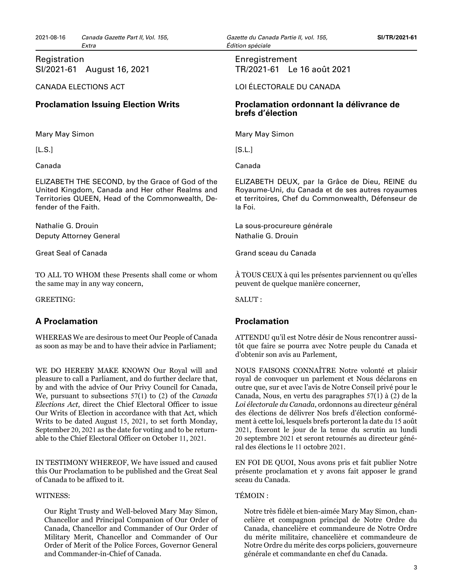## Registration SI/2021-61 August 16, 2021

#### CANADA ELECTIONS ACT

## **Proclamation Issuing Election Writs**

Mary May Simon

[L.S.]

Canada

ELIZABETH THE SECOND, by the Grace of God of the United Kingdom, Canada and Her other Realms and Territories QUEEN, Head of the Commonwealth, Defender of the Faith.

Nathalie G. Drouin Deputy Attorney General

Great Seal of Canada

TO ALL TO WHOM these Presents shall come or whom the same may in any way concern,

GREETING:

# **A Proclamation**

WHEREAS We are desirous to meet Our People of Canada as soon as may be and to have their advice in Parliament;

WE DO HEREBY MAKE KNOWN Our Royal will and pleasure to call a Parliament, and do further declare that, by and with the advice of Our Privy Council for Canada, We, pursuant to subsections 57(1) to (2) of the *Canada Elections Act*, direct the Chief Electoral Officer to issue Our Writs of Election in accordance with that Act, which Writs to be dated August 15, 2021, to set forth Monday, September 20, 2021 as the date for voting and to be returnable to the Chief Electoral Officer on October 11, 2021.

IN TESTIMONY WHEREOF, We have issued and caused this Our Proclamation to be published and the Great Seal of Canada to be affixed to it.

#### WITNESS:

Our Right Trusty and Well-beloved Mary May Simon, Chancellor and Principal Companion of Our Order of Canada, Chancellor and Commander of Our Order of Military Merit, Chancellor and Commander of Our Order of Merit of the Police Forces, Governor General and Commander-in-Chief of Canada.

### Enregistrement TR/2021-61 Le 16 août 2021

LOI ÉLECTORALE DU CANADA

## **Proclamation ordonnant la délivrance de brefs d'élection**

Mary May Simon

[S.L.]

Canada

ELIZABETH DEUX, par la Grâce de Dieu, REINE du Royaume-Uni, du Canada et de ses autres royaumes et territoires, Chef du Commonwealth, Défenseur de la Foi.

La sous-procureure générale Nathalie G. Drouin

Grand sceau du Canada

À TOUS CEUX à qui les présentes parviennent ou qu'elles peuvent de quelque manière concerner,

SALUT :

## **Proclamation**

ATTENDU qu'il est Notre désir de Nous rencontrer aussitôt que faire se pourra avec Notre peuple du Canada et d'obtenir son avis au Parlement,

NOUS FAISONS CONNAÎTRE Notre volonté et plaisir royal de convoquer un parlement et Nous déclarons en outre que, sur et avec l'avis de Notre Conseil privé pour le Canada, Nous, en vertu des paragraphes 57(1) à (2) de la *Loi électorale du Canada*, ordonnons au directeur général des élections de délivrer Nos brefs d'élection conformément à cette loi, lesquels brefs porteront la date du 15 août 2021, fixeront le jour de la tenue du scrutin au lundi 20 septembre 2021 et seront retournés au directeur général des élections le 11 octobre 2021.

EN FOI DE QUOI, Nous avons pris et fait publier Notre présente proclamation et y avons fait apposer le grand sceau du Canada.

#### TÉMOIN :

Notre très fidèle et bien-aimée Mary May Simon, chancelière et compagnon principal de Notre Ordre du Canada, chancelière et commandeure de Notre Ordre du mérite militaire, chancelière et commandeure de Notre Ordre du mérite des corps policiers, gouverneure générale et commandante en chef du Canada.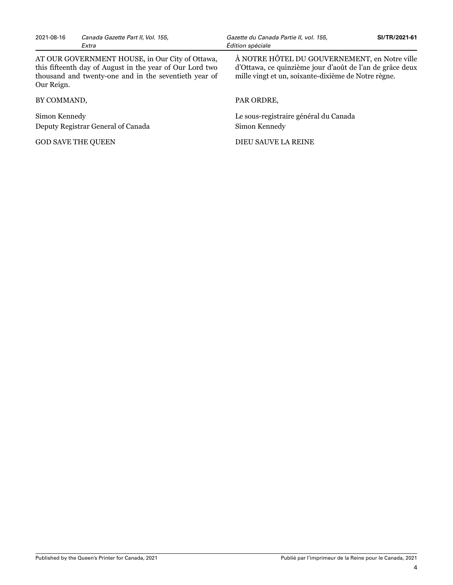2021-08-16 *Canada Gazette Part II, Vol. 155, Gazette du Canada Partie II, vol. 155,* **SI/TR/2021-61** *Extra Édition spéciale*

AT OUR GOVERNMENT HOUSE, in Our City of Ottawa, this fifteenth day of August in the year of Our Lord two thousand and twenty-one and in the seventieth year of Our Reign.

BY COMMAND,

Simon Kennedy Deputy Registrar General of Canada

GOD SAVE THE QUEEN

À NOTRE HÔTEL DU GOUVERNEMENT, en Notre ville d'Ottawa, ce quinzième jour d'août de l'an de grâce deux mille vingt et un, soixante-dixième de Notre règne.

#### PAR ORDRE,

Le sous-registraire général du Canada Simon Kennedy

DIEU SAUVE LA REINE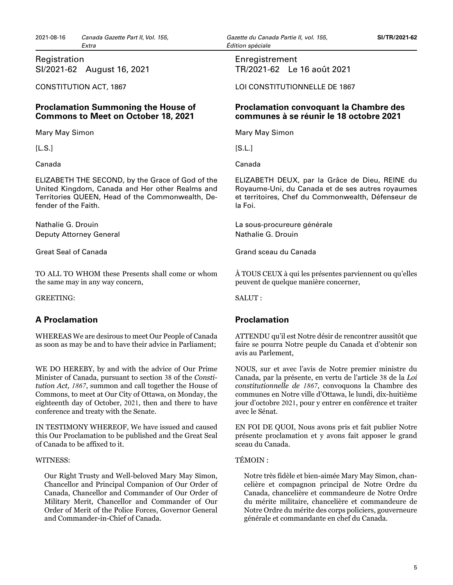Registration SI/2021-62 August 16, 2021

CONSTITUTION ACT, 1867

## **Proclamation Summoning the House of Commons to Meet on October 18, 2021**

Mary May Simon

 $[L.S.]$ 

Canada

ELIZABETH THE SECOND, by the Grace of God of the United Kingdom, Canada and Her other Realms and Territories QUEEN, Head of the Commonwealth, Defender of the Faith.

Nathalie G. Drouin Deputy Attorney General

Great Seal of Canada

TO ALL TO WHOM these Presents shall come or whom the same may in any way concern,

GREETING:

# **A Proclamation**

WHEREAS We are desirous to meet Our People of Canada as soon as may be and to have their advice in Parliament;

WE DO HEREBY, by and with the advice of Our Prime Minister of Canada, pursuant to section 38 of the *Constitution Act, 1867*, summon and call together the House of Commons, to meet at Our City of Ottawa, on Monday, the eighteenth day of October, 2021, then and there to have conference and treaty with the Senate.

IN TESTIMONY WHEREOF, We have issued and caused this Our Proclamation to be published and the Great Seal of Canada to be affixed to it.

### WITNESS:

Our Right Trusty and Well-beloved Mary May Simon, Chancellor and Principal Companion of Our Order of Canada, Chancellor and Commander of Our Order of Military Merit, Chancellor and Commander of Our Order of Merit of the Police Forces, Governor General and Commander-in-Chief of Canada.

## Enregistrement TR/2021-62 Le 16 août 2021

LOI CONSTITUTIONNELLE DE 1867

## **Proclamation convoquant la Chambre des communes à se réunir le 18 octobre 2021**

Mary May Simon

 $[S.L.]$ 

Canada

ELIZABETH DEUX, par la Grâce de Dieu, REINE du Royaume-Uni, du Canada et de ses autres royaumes et territoires, Chef du Commonwealth, Défenseur de la Foi.

La sous-procureure générale Nathalie G. Drouin

Grand sceau du Canada

À TOUS CEUX à qui les présentes parviennent ou qu'elles peuvent de quelque manière concerner,

SALUT :

# **Proclamation**

ATTENDU qu'il est Notre désir de rencontrer aussitôt que faire se pourra Notre peuple du Canada et d'obtenir son avis au Parlement,

NOUS, sur et avec l'avis de Notre premier ministre du Canada, par la présente, en vertu de l'article 38 de la *Loi constitutionnelle de 1867*, convoquons la Chambre des communes en Notre ville d'Ottawa, le lundi, dix-huitième jour d'octobre 2021, pour y entrer en conférence et traiter avec le Sénat.

EN FOI DE QUOI, Nous avons pris et fait publier Notre présente proclamation et y avons fait apposer le grand sceau du Canada.

### TÉMOIN :

Notre très fidèle et bien-aimée Mary May Simon, chancelière et compagnon principal de Notre Ordre du Canada, chancelière et commandeure de Notre Ordre du mérite militaire, chancelière et commandeure de Notre Ordre du mérite des corps policiers, gouverneure générale et commandante en chef du Canada.